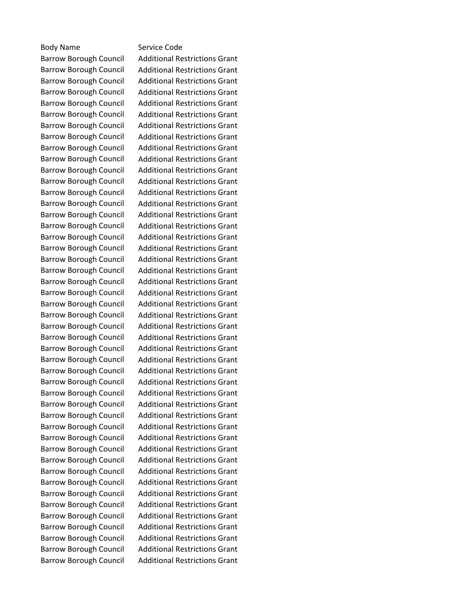## Body Name Service Code

Barrow Borough Council Additional Restrictions Grant Barrow Borough Council Additional Restrictions Grant Barrow Borough Council Additional Restrictions Grant Barrow Borough Council Additional Restrictions Grant Barrow Borough Council Additional Restrictions Grant Barrow Borough Council Additional Restrictions Grant Barrow Borough Council Additional Restrictions Grant Barrow Borough Council Additional Restrictions Grant Barrow Borough Council Additional Restrictions Grant Barrow Borough Council Additional Restrictions Grant Barrow Borough Council Additional Restrictions Grant Barrow Borough Council Additional Restrictions Grant Barrow Borough Council Additional Restrictions Grant Barrow Borough Council Additional Restrictions Grant Barrow Borough Council Additional Restrictions Grant Barrow Borough Council Additional Restrictions Grant Barrow Borough Council Additional Restrictions Grant Barrow Borough Council Additional Restrictions Grant Barrow Borough Council Additional Restrictions Grant Barrow Borough Council Additional Restrictions Grant Barrow Borough Council Additional Restrictions Grant Barrow Borough Council Additional Restrictions Grant Barrow Borough Council Additional Restrictions Grant Barrow Borough Council Additional Restrictions Grant Barrow Borough Council Additional Restrictions Grant Barrow Borough Council Additional Restrictions Grant Barrow Borough Council Additional Restrictions Grant Barrow Borough Council Additional Restrictions Grant Barrow Borough Council Additional Restrictions Grant Barrow Borough Council Additional Restrictions Grant Barrow Borough Council Additional Restrictions Grant Barrow Borough Council Additional Restrictions Grant Barrow Borough Council Additional Restrictions Grant Barrow Borough Council Additional Restrictions Grant Barrow Borough Council Additional Restrictions Grant Barrow Borough Council Additional Restrictions Grant Barrow Borough Council Additional Restrictions Grant Barrow Borough Council Additional Restrictions Grant Barrow Borough Council Additional Restrictions Grant Barrow Borough Council Additional Restrictions Grant Barrow Borough Council Additional Restrictions Grant Barrow Borough Council Additional Restrictions Grant Barrow Borough Council Additional Restrictions Grant Barrow Borough Council Additional Restrictions Grant Barrow Borough Council Additional Restrictions Grant Barrow Borough Council Additional Restrictions Grant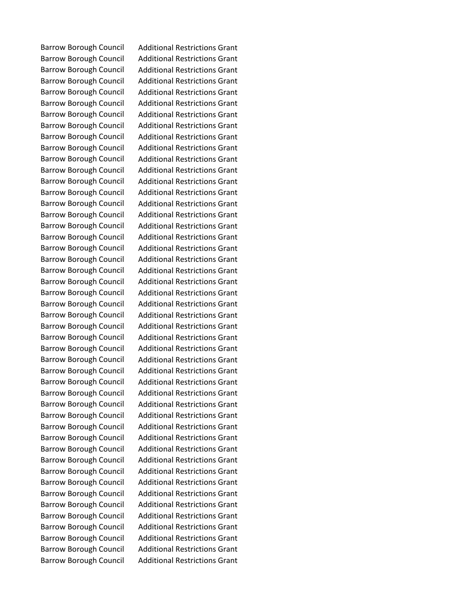Barrow Borough Council Additional Restrictions Grant Barrow Borough Council Additional Restrictions Grant Barrow Borough Council Additional Restrictions Grant Barrow Borough Council Additional Restrictions Grant Barrow Borough Council Additional Restrictions Grant Barrow Borough Council Additional Restrictions Grant Barrow Borough Council Additional Restrictions Grant Barrow Borough Council Additional Restrictions Grant Barrow Borough Council Additional Restrictions Grant Barrow Borough Council Additional Restrictions Grant Barrow Borough Council Additional Restrictions Grant Barrow Borough Council Additional Restrictions Grant Barrow Borough Council Additional Restrictions Grant Barrow Borough Council Additional Restrictions Grant Barrow Borough Council Additional Restrictions Grant Barrow Borough Council Additional Restrictions Grant Barrow Borough Council Additional Restrictions Grant Barrow Borough Council Additional Restrictions Grant Barrow Borough Council Additional Restrictions Grant Barrow Borough Council Additional Restrictions Grant Barrow Borough Council Additional Restrictions Grant Barrow Borough Council Additional Restrictions Grant Barrow Borough Council Additional Restrictions Grant Barrow Borough Council Additional Restrictions Grant Barrow Borough Council Additional Restrictions Grant Barrow Borough Council Additional Restrictions Grant Barrow Borough Council Additional Restrictions Grant Barrow Borough Council Additional Restrictions Grant Barrow Borough Council Additional Restrictions Grant Barrow Borough Council Additional Restrictions Grant Barrow Borough Council Additional Restrictions Grant Barrow Borough Council Additional Restrictions Grant Barrow Borough Council Additional Restrictions Grant Barrow Borough Council Additional Restrictions Grant Barrow Borough Council Additional Restrictions Grant Barrow Borough Council Additional Restrictions Grant Barrow Borough Council Additional Restrictions Grant Barrow Borough Council Additional Restrictions Grant Barrow Borough Council Additional Restrictions Grant Barrow Borough Council Additional Restrictions Grant Barrow Borough Council Additional Restrictions Grant Barrow Borough Council Additional Restrictions Grant Barrow Borough Council Additional Restrictions Grant Barrow Borough Council Additional Restrictions Grant Barrow Borough Council Additional Restrictions Grant Barrow Borough Council Additional Restrictions Grant Barrow Borough Council Additional Restrictions Grant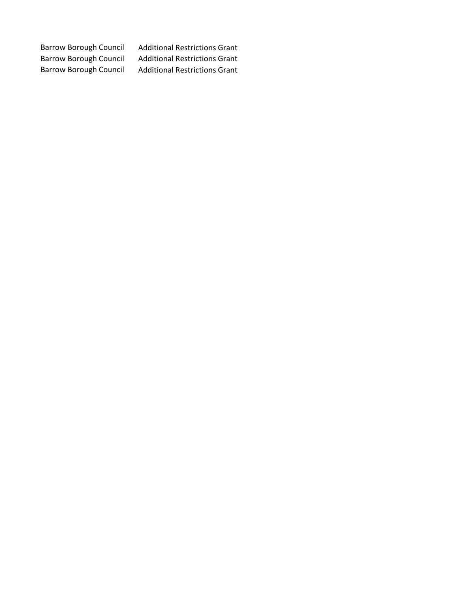Barrow Borough Council Additional Restrictions Grant Barrow Borough Council Additional Restrictions Grant Barrow Borough Council Additional Restrictions Grant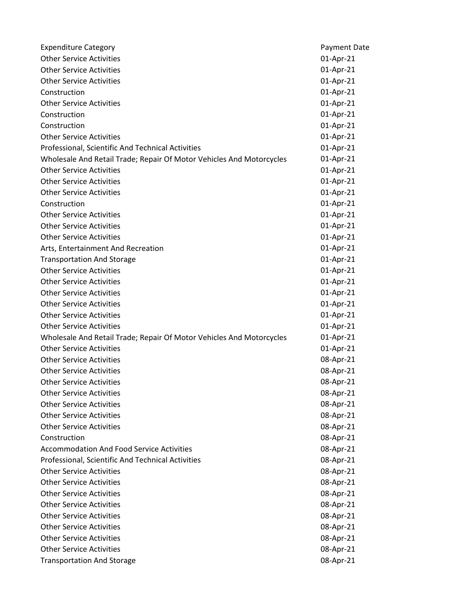| <b>Expenditure Category</b>                                          | <b>Payment Date</b> |
|----------------------------------------------------------------------|---------------------|
| <b>Other Service Activities</b>                                      | 01-Apr-21           |
| <b>Other Service Activities</b>                                      | 01-Apr-21           |
| <b>Other Service Activities</b>                                      | 01-Apr-21           |
| Construction                                                         | 01-Apr-21           |
| <b>Other Service Activities</b>                                      | 01-Apr-21           |
| Construction                                                         | 01-Apr-21           |
| Construction                                                         | 01-Apr-21           |
| <b>Other Service Activities</b>                                      | 01-Apr-21           |
| Professional, Scientific And Technical Activities                    | 01-Apr-21           |
| Wholesale And Retail Trade; Repair Of Motor Vehicles And Motorcycles | 01-Apr-21           |
| <b>Other Service Activities</b>                                      | 01-Apr-21           |
| <b>Other Service Activities</b>                                      | 01-Apr-21           |
| <b>Other Service Activities</b>                                      | 01-Apr-21           |
| Construction                                                         | 01-Apr-21           |
| <b>Other Service Activities</b>                                      | 01-Apr-21           |
| <b>Other Service Activities</b>                                      | 01-Apr-21           |
| <b>Other Service Activities</b>                                      | 01-Apr-21           |
| Arts, Entertainment And Recreation                                   | 01-Apr-21           |
| <b>Transportation And Storage</b>                                    | 01-Apr-21           |
| <b>Other Service Activities</b>                                      | 01-Apr-21           |
| <b>Other Service Activities</b>                                      | 01-Apr-21           |
| <b>Other Service Activities</b>                                      | 01-Apr-21           |
| <b>Other Service Activities</b>                                      | 01-Apr-21           |
| <b>Other Service Activities</b>                                      | 01-Apr-21           |
| <b>Other Service Activities</b>                                      | 01-Apr-21           |
| Wholesale And Retail Trade; Repair Of Motor Vehicles And Motorcycles | 01-Apr-21           |
| <b>Other Service Activities</b>                                      | 01-Apr-21           |
| <b>Other Service Activities</b>                                      | 08-Apr-21           |
| <b>Other Service Activities</b>                                      | 08-Apr-21           |
| <b>Other Service Activities</b>                                      | 08-Apr-21           |
| <b>Other Service Activities</b>                                      | 08-Apr-21           |
| <b>Other Service Activities</b>                                      | 08-Apr-21           |
| <b>Other Service Activities</b>                                      | 08-Apr-21           |
| <b>Other Service Activities</b>                                      | 08-Apr-21           |
| Construction                                                         | 08-Apr-21           |
| <b>Accommodation And Food Service Activities</b>                     | 08-Apr-21           |
| Professional, Scientific And Technical Activities                    | 08-Apr-21           |
| <b>Other Service Activities</b>                                      | 08-Apr-21           |
| <b>Other Service Activities</b>                                      | 08-Apr-21           |
| <b>Other Service Activities</b>                                      | 08-Apr-21           |
| <b>Other Service Activities</b>                                      | 08-Apr-21           |
| <b>Other Service Activities</b>                                      | 08-Apr-21           |
| <b>Other Service Activities</b>                                      | 08-Apr-21           |
| <b>Other Service Activities</b>                                      | 08-Apr-21           |
| <b>Other Service Activities</b>                                      | 08-Apr-21           |
| <b>Transportation And Storage</b>                                    | 08-Apr-21           |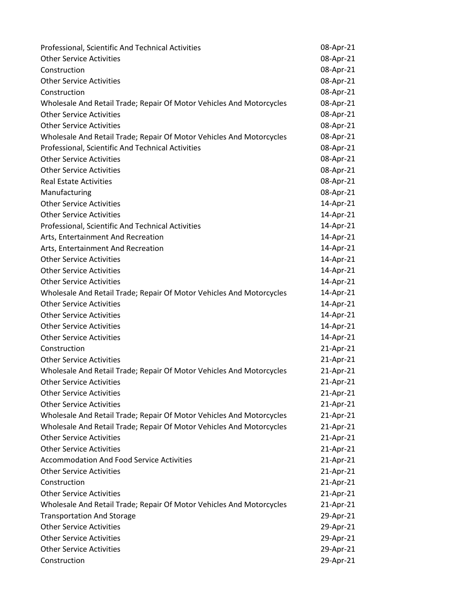| Professional, Scientific And Technical Activities                    | 08-Apr-21 |
|----------------------------------------------------------------------|-----------|
| <b>Other Service Activities</b>                                      | 08-Apr-21 |
| Construction                                                         | 08-Apr-21 |
| <b>Other Service Activities</b>                                      | 08-Apr-21 |
| Construction                                                         | 08-Apr-21 |
| Wholesale And Retail Trade; Repair Of Motor Vehicles And Motorcycles | 08-Apr-21 |
| <b>Other Service Activities</b>                                      | 08-Apr-21 |
| <b>Other Service Activities</b>                                      | 08-Apr-21 |
| Wholesale And Retail Trade; Repair Of Motor Vehicles And Motorcycles | 08-Apr-21 |
| Professional, Scientific And Technical Activities                    | 08-Apr-21 |
| <b>Other Service Activities</b>                                      | 08-Apr-21 |
| <b>Other Service Activities</b>                                      | 08-Apr-21 |
| <b>Real Estate Activities</b>                                        | 08-Apr-21 |
| Manufacturing                                                        | 08-Apr-21 |
| <b>Other Service Activities</b>                                      | 14-Apr-21 |
| <b>Other Service Activities</b>                                      | 14-Apr-21 |
| Professional, Scientific And Technical Activities                    | 14-Apr-21 |
| Arts, Entertainment And Recreation                                   | 14-Apr-21 |
| Arts, Entertainment And Recreation                                   | 14-Apr-21 |
| <b>Other Service Activities</b>                                      | 14-Apr-21 |
| <b>Other Service Activities</b>                                      | 14-Apr-21 |
| <b>Other Service Activities</b>                                      | 14-Apr-21 |
| Wholesale And Retail Trade; Repair Of Motor Vehicles And Motorcycles | 14-Apr-21 |
| <b>Other Service Activities</b>                                      | 14-Apr-21 |
| <b>Other Service Activities</b>                                      | 14-Apr-21 |
| <b>Other Service Activities</b>                                      | 14-Apr-21 |
| <b>Other Service Activities</b>                                      | 14-Apr-21 |
| Construction                                                         | 21-Apr-21 |
| <b>Other Service Activities</b>                                      | 21-Apr-21 |
| Wholesale And Retail Trade; Repair Of Motor Vehicles And Motorcycles | 21-Apr-21 |
| <b>Other Service Activities</b>                                      | 21-Apr-21 |
| <b>Other Service Activities</b>                                      | 21-Apr-21 |
| <b>Other Service Activities</b>                                      | 21-Apr-21 |
| Wholesale And Retail Trade; Repair Of Motor Vehicles And Motorcycles | 21-Apr-21 |
| Wholesale And Retail Trade; Repair Of Motor Vehicles And Motorcycles | 21-Apr-21 |
| <b>Other Service Activities</b>                                      | 21-Apr-21 |
| <b>Other Service Activities</b>                                      | 21-Apr-21 |
| <b>Accommodation And Food Service Activities</b>                     | 21-Apr-21 |
| <b>Other Service Activities</b>                                      | 21-Apr-21 |
| Construction                                                         | 21-Apr-21 |
| <b>Other Service Activities</b>                                      | 21-Apr-21 |
| Wholesale And Retail Trade; Repair Of Motor Vehicles And Motorcycles | 21-Apr-21 |
| <b>Transportation And Storage</b>                                    | 29-Apr-21 |
| <b>Other Service Activities</b>                                      | 29-Apr-21 |
| <b>Other Service Activities</b>                                      | 29-Apr-21 |
| <b>Other Service Activities</b>                                      | 29-Apr-21 |
| Construction                                                         | 29-Apr-21 |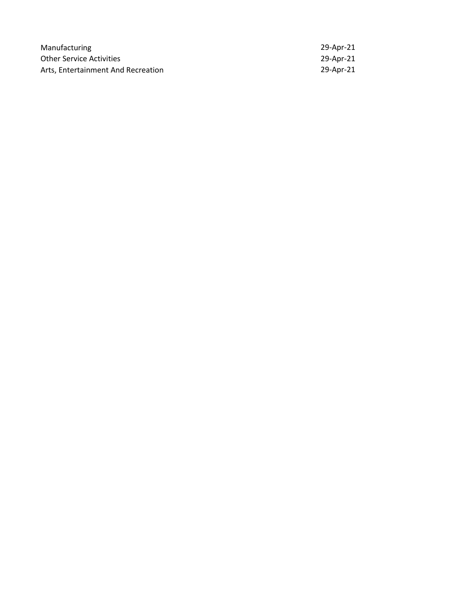| Manufacturing                      | 29-Apr-21 |
|------------------------------------|-----------|
| <b>Other Service Activities</b>    | 29-Apr-21 |
| Arts, Entertainment And Recreation | 29-Apr-21 |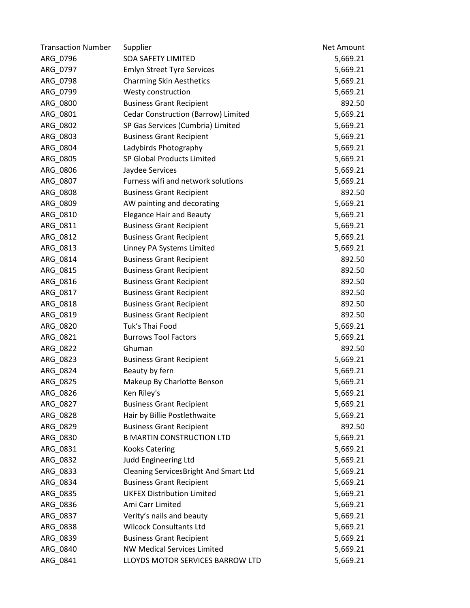| <b>Transaction Number</b> | Supplier                               | Net Amount |
|---------------------------|----------------------------------------|------------|
| ARG_0796                  | <b>SOA SAFETY LIMITED</b>              | 5,669.21   |
| ARG_0797                  | <b>Emlyn Street Tyre Services</b>      | 5,669.21   |
| ARG_0798                  | <b>Charming Skin Aesthetics</b>        | 5,669.21   |
| ARG_0799                  | Westy construction                     | 5,669.21   |
| ARG_0800                  | <b>Business Grant Recipient</b>        | 892.50     |
| ARG_0801                  | Cedar Construction (Barrow) Limited    | 5,669.21   |
| ARG_0802                  | SP Gas Services (Cumbria) Limited      | 5,669.21   |
| ARG_0803                  | <b>Business Grant Recipient</b>        | 5,669.21   |
| ARG_0804                  | Ladybirds Photography                  | 5,669.21   |
| ARG_0805                  | SP Global Products Limited             | 5,669.21   |
| ARG_0806                  | Jaydee Services                        | 5,669.21   |
| ARG_0807                  | Furness wifi and network solutions     | 5,669.21   |
| ARG_0808                  | <b>Business Grant Recipient</b>        | 892.50     |
| ARG_0809                  | AW painting and decorating             | 5,669.21   |
| ARG_0810                  | <b>Elegance Hair and Beauty</b>        | 5,669.21   |
| ARG_0811                  | <b>Business Grant Recipient</b>        | 5,669.21   |
| ARG_0812                  | <b>Business Grant Recipient</b>        | 5,669.21   |
| ARG_0813                  | Linney PA Systems Limited              | 5,669.21   |
| ARG_0814                  | <b>Business Grant Recipient</b>        | 892.50     |
| ARG_0815                  | <b>Business Grant Recipient</b>        | 892.50     |
| ARG_0816                  | <b>Business Grant Recipient</b>        | 892.50     |
| ARG_0817                  | <b>Business Grant Recipient</b>        | 892.50     |
| ARG_0818                  | <b>Business Grant Recipient</b>        | 892.50     |
| ARG_0819                  | <b>Business Grant Recipient</b>        | 892.50     |
| ARG_0820                  | Tuk's Thai Food                        | 5,669.21   |
| ARG_0821                  | <b>Burrows Tool Factors</b>            | 5,669.21   |
| ARG_0822                  | Ghuman                                 | 892.50     |
| ARG_0823                  | <b>Business Grant Recipient</b>        | 5,669.21   |
| ARG_0824                  | Beauty by fern                         | 5,669.21   |
| ARG 0825                  | Makeup By Charlotte Benson             | 5,669.21   |
| ARG_0826                  | Ken Riley's                            | 5,669.21   |
| ARG_0827                  | <b>Business Grant Recipient</b>        | 5,669.21   |
| ARG_0828                  | Hair by Billie Postlethwaite           | 5,669.21   |
| ARG_0829                  | <b>Business Grant Recipient</b>        | 892.50     |
| ARG 0830                  | <b>B MARTIN CONSTRUCTION LTD</b>       | 5,669.21   |
| ARG_0831                  | <b>Kooks Catering</b>                  | 5,669.21   |
| ARG_0832                  | Judd Engineering Ltd                   | 5,669.21   |
| ARG 0833                  | Cleaning Services Bright And Smart Ltd | 5,669.21   |
| ARG_0834                  | <b>Business Grant Recipient</b>        | 5,669.21   |
| ARG_0835                  | <b>UKFEX Distribution Limited</b>      | 5,669.21   |
| ARG_0836                  | Ami Carr Limited                       | 5,669.21   |
| ARG_0837                  | Verity's nails and beauty              | 5,669.21   |
| ARG_0838                  | <b>Wilcock Consultants Ltd</b>         | 5,669.21   |
| ARG_0839                  | <b>Business Grant Recipient</b>        | 5,669.21   |
| ARG_0840                  | <b>NW Medical Services Limited</b>     | 5,669.21   |
| ARG_0841                  | LLOYDS MOTOR SERVICES BARROW LTD       | 5,669.21   |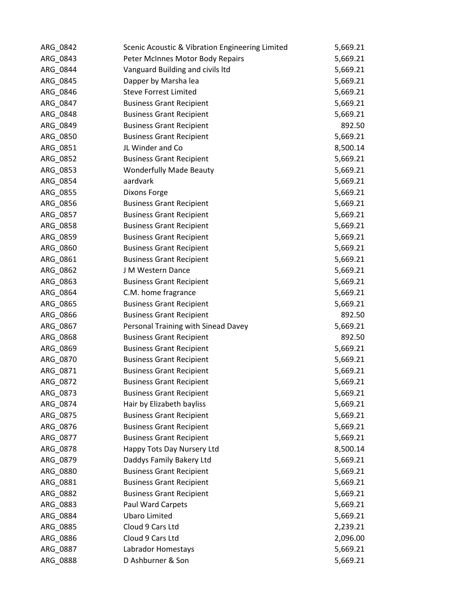| ARG_0842 | Scenic Acoustic & Vibration Engineering Limited | 5,669.21 |
|----------|-------------------------------------------------|----------|
| ARG_0843 | Peter McInnes Motor Body Repairs                | 5,669.21 |
| ARG_0844 | Vanguard Building and civils ltd                | 5,669.21 |
| ARG_0845 | Dapper by Marsha lea                            | 5,669.21 |
| ARG_0846 | <b>Steve Forrest Limited</b>                    | 5,669.21 |
| ARG_0847 | <b>Business Grant Recipient</b>                 | 5,669.21 |
| ARG_0848 | <b>Business Grant Recipient</b>                 | 5,669.21 |
| ARG_0849 | <b>Business Grant Recipient</b>                 | 892.50   |
| ARG_0850 | <b>Business Grant Recipient</b>                 | 5,669.21 |
| ARG 0851 | JL Winder and Co                                | 8,500.14 |
| ARG_0852 | <b>Business Grant Recipient</b>                 | 5,669.21 |
| ARG_0853 | <b>Wonderfully Made Beauty</b>                  | 5,669.21 |
| ARG_0854 | aardvark                                        | 5,669.21 |
| ARG_0855 | Dixons Forge                                    | 5,669.21 |
| ARG_0856 | <b>Business Grant Recipient</b>                 | 5,669.21 |
| ARG_0857 | <b>Business Grant Recipient</b>                 | 5,669.21 |
| ARG_0858 | <b>Business Grant Recipient</b>                 | 5,669.21 |
| ARG_0859 | <b>Business Grant Recipient</b>                 | 5,669.21 |
| ARG_0860 | <b>Business Grant Recipient</b>                 | 5,669.21 |
| ARG_0861 | <b>Business Grant Recipient</b>                 | 5,669.21 |
| ARG_0862 | J M Western Dance                               | 5,669.21 |
| ARG_0863 | <b>Business Grant Recipient</b>                 | 5,669.21 |
| ARG_0864 | C.M. home fragrance                             | 5,669.21 |
| ARG_0865 | <b>Business Grant Recipient</b>                 | 5,669.21 |
| ARG_0866 | <b>Business Grant Recipient</b>                 | 892.50   |
| ARG_0867 | Personal Training with Sinead Davey             | 5,669.21 |
| ARG_0868 | <b>Business Grant Recipient</b>                 | 892.50   |
| ARG_0869 | <b>Business Grant Recipient</b>                 | 5,669.21 |
| ARG_0870 | <b>Business Grant Recipient</b>                 | 5,669.21 |
| ARG_0871 | <b>Business Grant Recipient</b>                 | 5,669.21 |
| ARG_0872 | <b>Business Grant Recipient</b>                 | 5,669.21 |
| ARG_0873 | <b>Business Grant Recipient</b>                 | 5,669.21 |
| ARG_0874 | Hair by Elizabeth bayliss                       | 5,669.21 |
| ARG_0875 | <b>Business Grant Recipient</b>                 | 5,669.21 |
| ARG_0876 | <b>Business Grant Recipient</b>                 | 5,669.21 |
| ARG_0877 | <b>Business Grant Recipient</b>                 | 5,669.21 |
| ARG 0878 | Happy Tots Day Nursery Ltd                      | 8,500.14 |
| ARG_0879 | Daddys Family Bakery Ltd                        | 5,669.21 |
| ARG 0880 | <b>Business Grant Recipient</b>                 | 5,669.21 |
| ARG_0881 | <b>Business Grant Recipient</b>                 | 5,669.21 |
| ARG_0882 | <b>Business Grant Recipient</b>                 | 5,669.21 |
| ARG_0883 | Paul Ward Carpets                               | 5,669.21 |
| ARG_0884 | <b>Ubaro Limited</b>                            | 5,669.21 |
| ARG_0885 | Cloud 9 Cars Ltd                                | 2,239.21 |
| ARG_0886 | Cloud 9 Cars Ltd                                | 2,096.00 |
| ARG_0887 | Labrador Homestays                              | 5,669.21 |
| ARG_0888 | D Ashburner & Son                               | 5,669.21 |